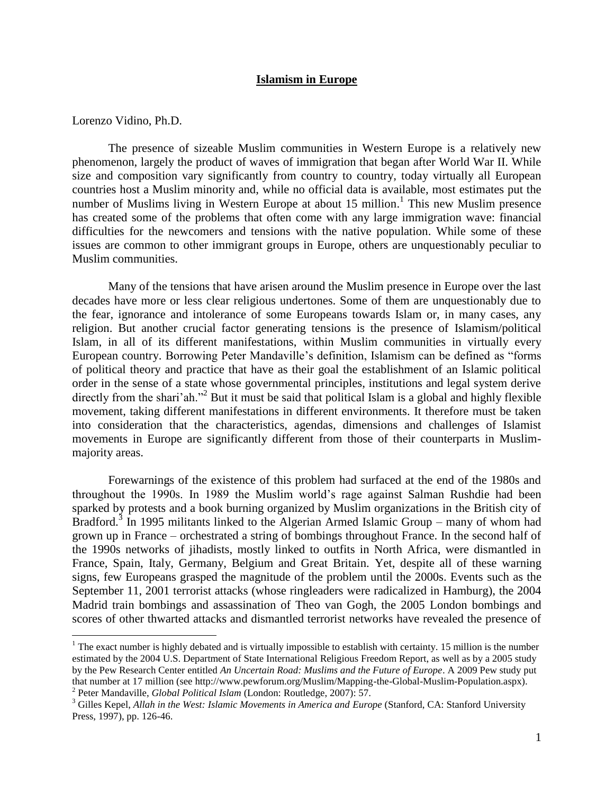#### **Islamism in Europe**

Lorenzo Vidino, Ph.D.

 $\overline{a}$ 

The presence of sizeable Muslim communities in Western Europe is a relatively new phenomenon, largely the product of waves of immigration that began after World War II. While size and composition vary significantly from country to country, today virtually all European countries host a Muslim minority and, while no official data is available, most estimates put the number of Muslims living in Western Europe at about 15 million.<sup>1</sup> This new Muslim presence has created some of the problems that often come with any large immigration wave: financial difficulties for the newcomers and tensions with the native population. While some of these issues are common to other immigrant groups in Europe, others are unquestionably peculiar to Muslim communities.

Many of the tensions that have arisen around the Muslim presence in Europe over the last decades have more or less clear religious undertones. Some of them are unquestionably due to the fear, ignorance and intolerance of some Europeans towards Islam or, in many cases, any religion. But another crucial factor generating tensions is the presence of Islamism/political Islam, in all of its different manifestations, within Muslim communities in virtually every European country. Borrowing Peter Mandaville's definition, Islamism can be defined as "forms of political theory and practice that have as their goal the establishment of an Islamic political order in the sense of a state whose governmental principles, institutions and legal system derive directly from the shari'ah."<sup>2</sup> But it must be said that political Islam is a global and highly flexible movement, taking different manifestations in different environments. It therefore must be taken into consideration that the characteristics, agendas, dimensions and challenges of Islamist movements in Europe are significantly different from those of their counterparts in Muslimmajority areas.

Forewarnings of the existence of this problem had surfaced at the end of the 1980s and throughout the 1990s. In 1989 the Muslim world's rage against Salman Rushdie had been sparked by protests and a book burning organized by Muslim organizations in the British city of Bradford.<sup>3</sup> In 1995 militants linked to the Algerian Armed Islamic Group – many of whom had grown up in France – orchestrated a string of bombings throughout France. In the second half of the 1990s networks of jihadists, mostly linked to outfits in North Africa, were dismantled in France, Spain, Italy, Germany, Belgium and Great Britain. Yet, despite all of these warning signs, few Europeans grasped the magnitude of the problem until the 2000s. Events such as the September 11, 2001 terrorist attacks (whose ringleaders were radicalized in Hamburg), the 2004 Madrid train bombings and assassination of Theo van Gogh, the 2005 London bombings and scores of other thwarted attacks and dismantled terrorist networks have revealed the presence of

<sup>&</sup>lt;sup>1</sup> The exact number is highly debated and is virtually impossible to establish with certainty. 15 million is the number estimated by the 2004 U.S. Department of State International Religious Freedom Report, as well as by a 2005 study by the Pew Research Center entitled *An Uncertain Road: Muslims and the Future of Europe*. A 2009 Pew study put that number at 17 million (see http://www.pewforum.org/Muslim/Mapping-the-Global-Muslim-Population.aspx). 2 Peter Mandaville, *Global Political Islam* (London: Routledge, 2007): 57.

<sup>&</sup>lt;sup>3</sup> Gilles Kepel, *Allah in the West: Islamic Movements in America and Europe* (Stanford, CA: Stanford University Press, 1997), pp. 126-46.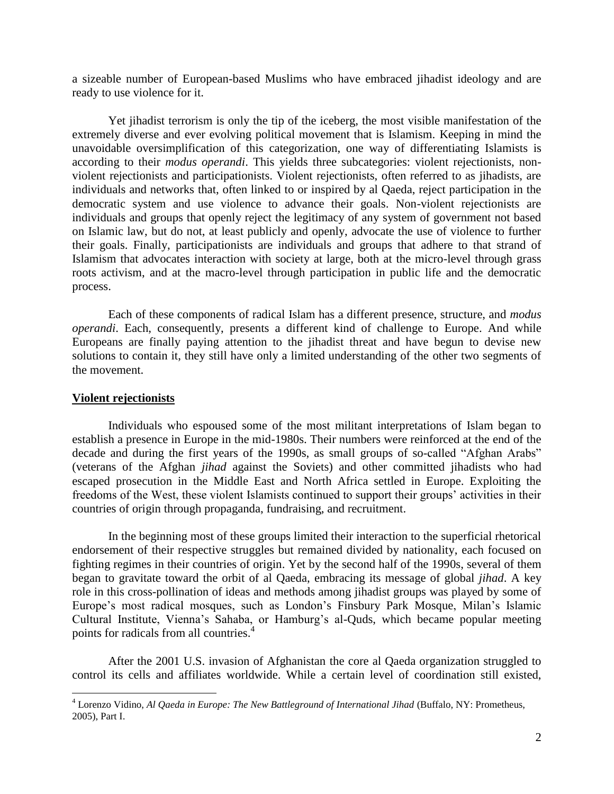a sizeable number of European-based Muslims who have embraced jihadist ideology and are ready to use violence for it.

Yet jihadist terrorism is only the tip of the iceberg, the most visible manifestation of the extremely diverse and ever evolving political movement that is Islamism. Keeping in mind the unavoidable oversimplification of this categorization, one way of differentiating Islamists is according to their *modus operandi*. This yields three subcategories: violent rejectionists, nonviolent rejectionists and participationists. Violent rejectionists, often referred to as jihadists, are individuals and networks that, often linked to or inspired by al Qaeda, reject participation in the democratic system and use violence to advance their goals. Non-violent rejectionists are individuals and groups that openly reject the legitimacy of any system of government not based on Islamic law, but do not, at least publicly and openly, advocate the use of violence to further their goals. Finally, participationists are individuals and groups that adhere to that strand of Islamism that advocates interaction with society at large, both at the micro-level through grass roots activism, and at the macro-level through participation in public life and the democratic process.

Each of these components of radical Islam has a different presence, structure, and *modus operandi*. Each, consequently, presents a different kind of challenge to Europe. And while Europeans are finally paying attention to the jihadist threat and have begun to devise new solutions to contain it, they still have only a limited understanding of the other two segments of the movement.

## **Violent rejectionists**

 $\overline{a}$ 

Individuals who espoused some of the most militant interpretations of Islam began to establish a presence in Europe in the mid-1980s. Their numbers were reinforced at the end of the decade and during the first years of the 1990s, as small groups of so-called "Afghan Arabs" (veterans of the Afghan *jihad* against the Soviets) and other committed jihadists who had escaped prosecution in the Middle East and North Africa settled in Europe. Exploiting the freedoms of the West, these violent Islamists continued to support their groups' activities in their countries of origin through propaganda, fundraising, and recruitment.

In the beginning most of these groups limited their interaction to the superficial rhetorical endorsement of their respective struggles but remained divided by nationality, each focused on fighting regimes in their countries of origin. Yet by the second half of the 1990s, several of them began to gravitate toward the orbit of al Qaeda, embracing its message of global *jihad*. A key role in this cross-pollination of ideas and methods among jihadist groups was played by some of Europe's most radical mosques, such as London's Finsbury Park Mosque, Milan's Islamic Cultural Institute, Vienna's Sahaba, or Hamburg's al-Quds, which became popular meeting points for radicals from all countries.<sup>4</sup>

After the 2001 U.S. invasion of Afghanistan the core al Qaeda organization struggled to control its cells and affiliates worldwide. While a certain level of coordination still existed,

<sup>4</sup> Lorenzo Vidino, *Al Qaeda in Europe: The New Battleground of International Jihad* (Buffalo, NY: Prometheus, 2005), Part I.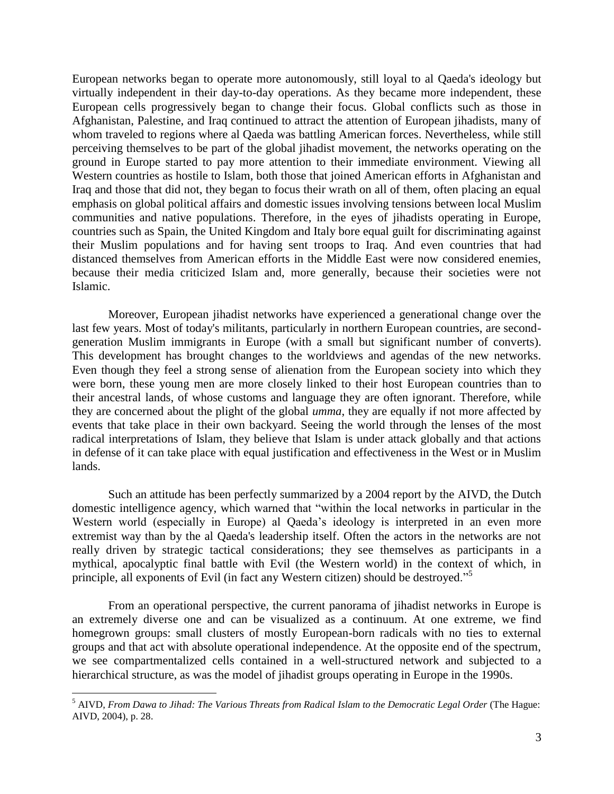European networks began to operate more autonomously, still loyal to al Qaeda's ideology but virtually independent in their day-to-day operations. As they became more independent, these European cells progressively began to change their focus. Global conflicts such as those in Afghanistan, Palestine, and Iraq continued to attract the attention of European jihadists, many of whom traveled to regions where al Qaeda was battling American forces. Nevertheless, while still perceiving themselves to be part of the global jihadist movement, the networks operating on the ground in Europe started to pay more attention to their immediate environment. Viewing all Western countries as hostile to Islam, both those that joined American efforts in Afghanistan and Iraq and those that did not, they began to focus their wrath on all of them, often placing an equal emphasis on global political affairs and domestic issues involving tensions between local Muslim communities and native populations. Therefore, in the eyes of jihadists operating in Europe, countries such as Spain, the United Kingdom and Italy bore equal guilt for discriminating against their Muslim populations and for having sent troops to Iraq. And even countries that had distanced themselves from American efforts in the Middle East were now considered enemies, because their media criticized Islam and, more generally, because their societies were not Islamic.

Moreover, European jihadist networks have experienced a generational change over the last few years. Most of today's militants, particularly in northern European countries, are secondgeneration Muslim immigrants in Europe (with a small but significant number of converts). This development has brought changes to the worldviews and agendas of the new networks. Even though they feel a strong sense of alienation from the European society into which they were born, these young men are more closely linked to their host European countries than to their ancestral lands, of whose customs and language they are often ignorant. Therefore, while they are concerned about the plight of the global *umma*, they are equally if not more affected by events that take place in their own backyard. Seeing the world through the lenses of the most radical interpretations of Islam, they believe that Islam is under attack globally and that actions in defense of it can take place with equal justification and effectiveness in the West or in Muslim lands.

Such an attitude has been perfectly summarized by a 2004 report by the AIVD, the Dutch domestic intelligence agency, which warned that "within the local networks in particular in the Western world (especially in Europe) al Qaeda's ideology is interpreted in an even more extremist way than by the al Qaeda's leadership itself. Often the actors in the networks are not really driven by strategic tactical considerations; they see themselves as participants in a mythical, apocalyptic final battle with Evil (the Western world) in the context of which, in principle, all exponents of Evil (in fact any Western citizen) should be destroyed."<sup>5</sup>

From an operational perspective, the current panorama of jihadist networks in Europe is an extremely diverse one and can be visualized as a continuum. At one extreme, we find homegrown groups: small clusters of mostly European-born radicals with no ties to external groups and that act with absolute operational independence. At the opposite end of the spectrum, we see compartmentalized cells contained in a well-structured network and subjected to a hierarchical structure, as was the model of jihadist groups operating in Europe in the 1990s.

<sup>5</sup> AIVD, *From Dawa to Jihad: The Various Threats from Radical Islam to the Democratic Legal Order* (The Hague: AIVD, 2004), p. 28.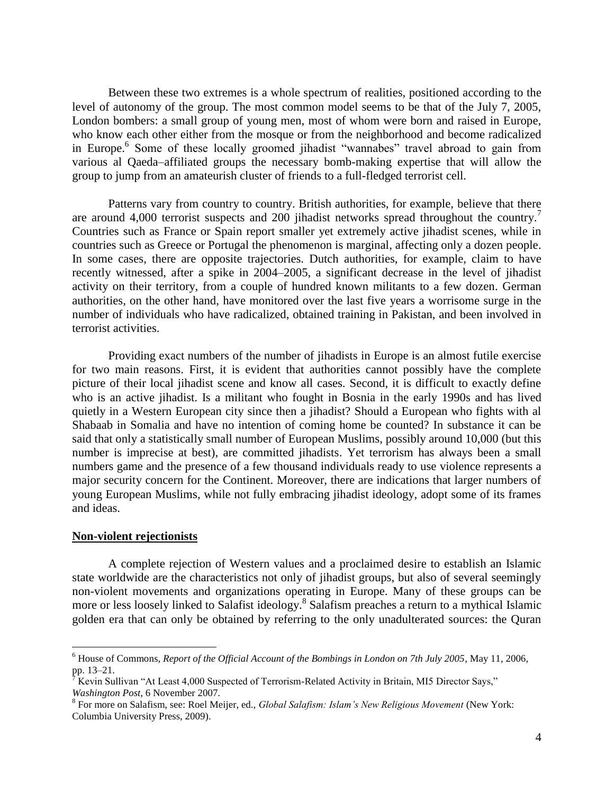Between these two extremes is a whole spectrum of realities, positioned according to the level of autonomy of the group. The most common model seems to be that of the July 7, 2005, London bombers: a small group of young men, most of whom were born and raised in Europe, who know each other either from the mosque or from the neighborhood and become radicalized in Europe.<sup>6</sup> Some of these locally groomed jihadist "wannabes" travel abroad to gain from various al Qaeda–affiliated groups the necessary bomb-making expertise that will allow the group to jump from an amateurish cluster of friends to a full-fledged terrorist cell.

Patterns vary from country to country. British authorities, for example, believe that there are around 4,000 terrorist suspects and 200 jihadist networks spread throughout the country.<sup>7</sup> Countries such as France or Spain report smaller yet extremely active jihadist scenes, while in countries such as Greece or Portugal the phenomenon is marginal, affecting only a dozen people. In some cases, there are opposite trajectories. Dutch authorities, for example, claim to have recently witnessed, after a spike in 2004–2005, a significant decrease in the level of jihadist activity on their territory, from a couple of hundred known militants to a few dozen. German authorities, on the other hand, have monitored over the last five years a worrisome surge in the number of individuals who have radicalized, obtained training in Pakistan, and been involved in terrorist activities.

Providing exact numbers of the number of jihadists in Europe is an almost futile exercise for two main reasons. First, it is evident that authorities cannot possibly have the complete picture of their local jihadist scene and know all cases. Second, it is difficult to exactly define who is an active jihadist. Is a militant who fought in Bosnia in the early 1990s and has lived quietly in a Western European city since then a jihadist? Should a European who fights with al Shabaab in Somalia and have no intention of coming home be counted? In substance it can be said that only a statistically small number of European Muslims, possibly around 10,000 (but this number is imprecise at best), are committed jihadists. Yet terrorism has always been a small numbers game and the presence of a few thousand individuals ready to use violence represents a major security concern for the Continent. Moreover, there are indications that larger numbers of young European Muslims, while not fully embracing jihadist ideology, adopt some of its frames and ideas.

## **Non-violent rejectionists**

 $\overline{a}$ 

A complete rejection of Western values and a proclaimed desire to establish an Islamic state worldwide are the characteristics not only of jihadist groups, but also of several seemingly non-violent movements and organizations operating in Europe. Many of these groups can be more or less loosely linked to Salafist ideology. 8 Salafism preaches a return to a mythical Islamic golden era that can only be obtained by referring to the only unadulterated sources: the Quran

<sup>6</sup> House of Commons, *Report of the Official Account of the Bombings in London on 7th July 2005*, May 11, 2006, pp. 13–21.

<sup>7</sup> Kevin Sullivan "At Least 4,000 Suspected of Terrorism-Related Activity in Britain, MI5 Director Says," *Washington Post*, 6 November 2007.

<sup>8</sup> For more on Salafism, see: Roel Meijer, ed., *Global Salafism: Islam's New Religious Movement* (New York: Columbia University Press, 2009).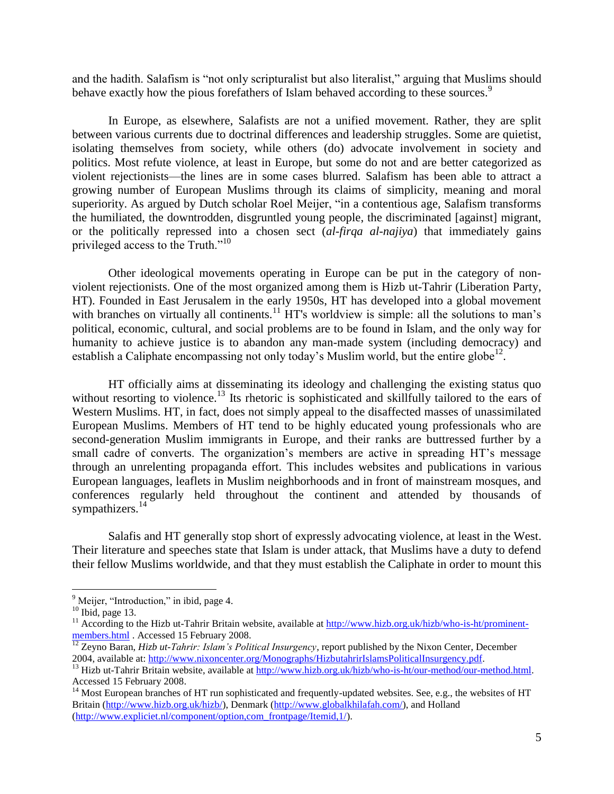and the hadith. Salafism is "not only scripturalist but also literalist," arguing that Muslims should behave exactly how the pious forefathers of Islam behaved according to these sources.<sup>9</sup>

In Europe, as elsewhere, Salafists are not a unified movement. Rather, they are split between various currents due to doctrinal differences and leadership struggles. Some are quietist, isolating themselves from society, while others (do) advocate involvement in society and politics. Most refute violence, at least in Europe, but some do not and are better categorized as violent rejectionists—the lines are in some cases blurred. Salafism has been able to attract a growing number of European Muslims through its claims of simplicity, meaning and moral superiority. As argued by Dutch scholar Roel Meijer, "in a contentious age, Salafism transforms the humiliated, the downtrodden, disgruntled young people, the discriminated [against] migrant, or the politically repressed into a chosen sect (*al-firqa al-najiya*) that immediately gains privileged access to the Truth."<sup>10</sup>

Other ideological movements operating in Europe can be put in the category of nonviolent rejectionists. One of the most organized among them is Hizb ut-Tahrir (Liberation Party, HT). Founded in East Jerusalem in the early 1950s, HT has developed into a global movement with branches on virtually all continents.<sup>11</sup> HT's worldview is simple: all the solutions to man's political, economic, cultural, and social problems are to be found in Islam, and the only way for humanity to achieve justice is to abandon any man-made system (including democracy) and establish a Caliphate encompassing not only today's Muslim world, but the entire globe<sup>12</sup>.

HT officially aims at disseminating its ideology and challenging the existing status quo without resorting to violence.<sup>13</sup> Its rhetoric is sophisticated and skillfully tailored to the ears of Western Muslims. HT, in fact, does not simply appeal to the disaffected masses of unassimilated European Muslims. Members of HT tend to be highly educated young professionals who are second-generation Muslim immigrants in Europe, and their ranks are buttressed further by a small cadre of converts. The organization's members are active in spreading HT's message through an unrelenting propaganda effort. This includes websites and publications in various European languages, leaflets in Muslim neighborhoods and in front of mainstream mosques, and conferences regularly held throughout the continent and attended by thousands of sympathizers.<sup>14</sup>

Salafis and HT generally stop short of expressly advocating violence, at least in the West. Their literature and speeches state that Islam is under attack, that Muslims have a duty to defend their fellow Muslims worldwide, and that they must establish the Caliphate in order to mount this

<sup>&</sup>lt;sup>9</sup> Meijer, "Introduction," in ibid, page 4.

 $10$  Ibid, page 13.

 $11$  According to the Hizb ut-Tahrir Britain website, available at [http://www.hizb.org.uk/hizb/who-is-ht/prominent](http://www.hizb.org.uk/hizb/who-is-ht/prominent-members.html)[members.html](http://www.hizb.org.uk/hizb/who-is-ht/prominent-members.html) . Accessed 15 February 2008.

<sup>12</sup> Zeyno Baran, *Hizb ut-Tahrir: Islam's Political Insurgency*, report published by the Nixon Center, December 2004, available at: [http://www.nixoncenter.org/Monographs/HizbutahrirIslamsPoliticalInsurgency.pdf.](http://www.nixoncenter.org/Monographs/HizbutahrirIslamsPoliticalInsurgency.pdf)

<sup>&</sup>lt;sup>13</sup> Hizb ut-Tahrir Britain website, available at [http://www.hizb.org.uk/hizb/who-is-ht/our-method/our-method.html.](http://www.hizb.org.uk/hizb/who-is-ht/our-method/our-method.html) Accessed 15 February 2008.

<sup>&</sup>lt;sup>14</sup> Most European branches of HT run sophisticated and frequently-updated websites. See, e.g., the websites of HT Britain [\(http://www.hizb.org.uk/hizb/\)](http://www.hizb.org.uk/hizb/), Denmark [\(http://www.globalkhilafah.com/\)](http://www.globalkhilafah.com/), and Holland [\(http://www.expliciet.nl/component/option,com\\_frontpage/Itemid,1/\)](http://www.expliciet.nl/component/option,com_frontpage/Itemid,1/).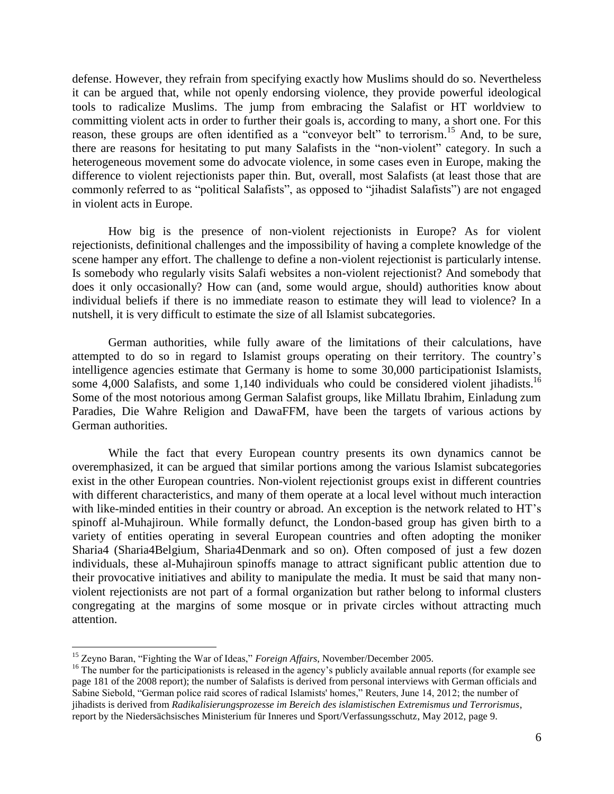defense. However, they refrain from specifying exactly how Muslims should do so. Nevertheless it can be argued that, while not openly endorsing violence, they provide powerful ideological tools to radicalize Muslims. The jump from embracing the Salafist or HT worldview to committing violent acts in order to further their goals is, according to many, a short one. For this reason, these groups are often identified as a "conveyor belt" to terrorism.<sup>15</sup> And, to be sure, there are reasons for hesitating to put many Salafists in the "non-violent" category. In such a heterogeneous movement some do advocate violence, in some cases even in Europe, making the difference to violent rejectionists paper thin. But, overall, most Salafists (at least those that are commonly referred to as "political Salafists", as opposed to "jihadist Salafists") are not engaged in violent acts in Europe.

How big is the presence of non-violent rejectionists in Europe? As for violent rejectionists, definitional challenges and the impossibility of having a complete knowledge of the scene hamper any effort. The challenge to define a non-violent rejectionist is particularly intense. Is somebody who regularly visits Salafi websites a non-violent rejectionist? And somebody that does it only occasionally? How can (and, some would argue, should) authorities know about individual beliefs if there is no immediate reason to estimate they will lead to violence? In a nutshell, it is very difficult to estimate the size of all Islamist subcategories.

German authorities, while fully aware of the limitations of their calculations, have attempted to do so in regard to Islamist groups operating on their territory. The country's intelligence agencies estimate that Germany is home to some 30,000 participationist Islamists, some 4,000 Salafists, and some 1,140 individuals who could be considered violent jihadists.<sup>16</sup> Some of the most notorious among German Salafist groups, like Millatu Ibrahim, Einladung zum Paradies, Die Wahre Religion and DawaFFM, have been the targets of various actions by German authorities.

While the fact that every European country presents its own dynamics cannot be overemphasized, it can be argued that similar portions among the various Islamist subcategories exist in the other European countries. Non-violent rejectionist groups exist in different countries with different characteristics, and many of them operate at a local level without much interaction with like-minded entities in their country or abroad. An exception is the network related to HT's spinoff al-Muhajiroun. While formally defunct, the London-based group has given birth to a variety of entities operating in several European countries and often adopting the moniker Sharia4 (Sharia4Belgium, Sharia4Denmark and so on). Often composed of just a few dozen individuals, these al-Muhajiroun spinoffs manage to attract significant public attention due to their provocative initiatives and ability to manipulate the media. It must be said that many nonviolent rejectionists are not part of a formal organization but rather belong to informal clusters congregating at the margins of some mosque or in private circles without attracting much attention.

<sup>15</sup> Zeyno Baran, "Fighting the War of Ideas," *Foreign Affairs*, November/December 2005.

<sup>&</sup>lt;sup>16</sup> The number for the participationists is released in the agency's publicly available annual reports (for example see page 181 of the 2008 report); the number of Salafists is derived from personal interviews with German officials and Sabine Siebold, "German police raid scores of radical Islamists' homes," Reuters, June 14, 2012; the number of jihadists is derived from *Radikalisierungsprozesse im Bereich des islamistischen Extremismus und Terrorismus*, report by the Niedersächsisches Ministerium für Inneres und Sport/Verfassungsschutz, May 2012, page 9.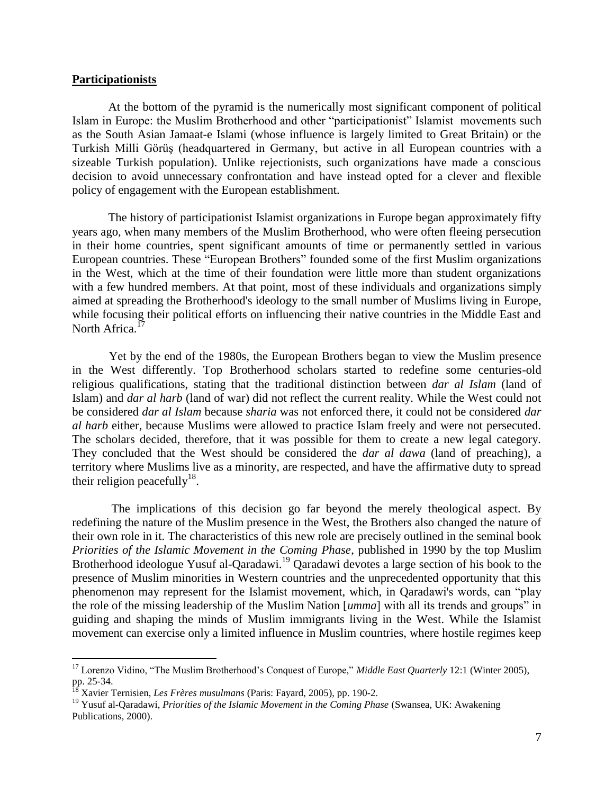# **Participationists**

 $\overline{a}$ 

At the bottom of the pyramid is the numerically most significant component of political Islam in Europe: the Muslim Brotherhood and other "participationist" Islamist movements such as the South Asian Jamaat-e Islami (whose influence is largely limited to Great Britain) or the Turkish Milli Görüş (headquartered in Germany, but active in all European countries with a sizeable Turkish population). Unlike rejectionists, such organizations have made a conscious decision to avoid unnecessary confrontation and have instead opted for a clever and flexible policy of engagement with the European establishment.

The history of participationist Islamist organizations in Europe began approximately fifty years ago, when many members of the Muslim Brotherhood, who were often fleeing persecution in their home countries, spent significant amounts of time or permanently settled in various European countries. These "European Brothers" founded some of the first Muslim organizations in the West, which at the time of their foundation were little more than student organizations with a few hundred members. At that point, most of these individuals and organizations simply aimed at spreading the Brotherhood's ideology to the small number of Muslims living in Europe, while focusing their political efforts on influencing their native countries in the Middle East and North Africa.<sup>17</sup>

 Yet by the end of the 1980s, the European Brothers began to view the Muslim presence in the West differently. Top Brotherhood scholars started to redefine some centuries-old religious qualifications, stating that the traditional distinction between *dar al Islam* (land of Islam) and *dar al harb* (land of war) did not reflect the current reality. While the West could not be considered *dar al Islam* because *sharia* was not enforced there, it could not be considered *dar al harb* either, because Muslims were allowed to practice Islam freely and were not persecuted. The scholars decided, therefore, that it was possible for them to create a new legal category. They concluded that the West should be considered the *dar al dawa* (land of preaching), a territory where Muslims live as a minority, are respected, and have the affirmative duty to spread their religion peacefully<sup>18</sup>.

 The implications of this decision go far beyond the merely theological aspect. By redefining the nature of the Muslim presence in the West, the Brothers also changed the nature of their own role in it. The characteristics of this new role are precisely outlined in the seminal book *Priorities of the Islamic Movement in the Coming Phase*, published in 1990 by the top Muslim Brotherhood ideologue Yusuf al-Qaradawi.<sup>19</sup> Qaradawi devotes a large section of his book to the presence of Muslim minorities in Western countries and the unprecedented opportunity that this phenomenon may represent for the Islamist movement, which, in Qaradawi's words, can "play the role of the missing leadership of the Muslim Nation [*umma*] with all its trends and groups" in guiding and shaping the minds of Muslim immigrants living in the West. While the Islamist movement can exercise only a limited influence in Muslim countries, where hostile regimes keep

<sup>&</sup>lt;sup>17</sup> Lorenzo Vidino, "The Muslim Brotherhood's Conquest of Europe," *Middle East Quarterly* 12:1 (Winter 2005), pp. 25-34.

<sup>18</sup> Xavier Ternisien, *Les Frères musulmans* (Paris: Fayard, 2005), pp. 190-2.

<sup>19</sup> Yusuf al-Qaradawi, *Priorities of the Islamic Movement in the Coming Phase* (Swansea, UK: Awakening Publications, 2000).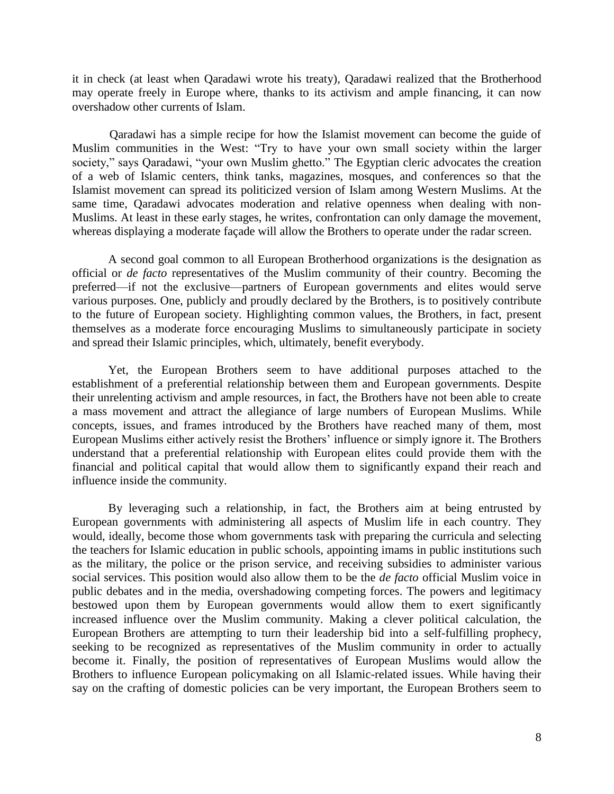it in check (at least when Qaradawi wrote his treaty), Qaradawi realized that the Brotherhood may operate freely in Europe where, thanks to its activism and ample financing, it can now overshadow other currents of Islam.

 Qaradawi has a simple recipe for how the Islamist movement can become the guide of Muslim communities in the West: "Try to have your own small society within the larger society," says Qaradawi, "your own Muslim ghetto." The Egyptian cleric advocates the creation of a web of Islamic centers, think tanks, magazines, mosques, and conferences so that the Islamist movement can spread its politicized version of Islam among Western Muslims. At the same time, Qaradawi advocates moderation and relative openness when dealing with non-Muslims. At least in these early stages, he writes, confrontation can only damage the movement, whereas displaying a moderate façade will allow the Brothers to operate under the radar screen.

A second goal common to all European Brotherhood organizations is the designation as official or *de facto* representatives of the Muslim community of their country. Becoming the preferred—if not the exclusive—partners of European governments and elites would serve various purposes. One, publicly and proudly declared by the Brothers, is to positively contribute to the future of European society. Highlighting common values, the Brothers, in fact, present themselves as a moderate force encouraging Muslims to simultaneously participate in society and spread their Islamic principles, which, ultimately, benefit everybody.

Yet, the European Brothers seem to have additional purposes attached to the establishment of a preferential relationship between them and European governments. Despite their unrelenting activism and ample resources, in fact, the Brothers have not been able to create a mass movement and attract the allegiance of large numbers of European Muslims. While concepts, issues, and frames introduced by the Brothers have reached many of them, most European Muslims either actively resist the Brothers' influence or simply ignore it. The Brothers understand that a preferential relationship with European elites could provide them with the financial and political capital that would allow them to significantly expand their reach and influence inside the community.

By leveraging such a relationship, in fact, the Brothers aim at being entrusted by European governments with administering all aspects of Muslim life in each country. They would, ideally, become those whom governments task with preparing the curricula and selecting the teachers for Islamic education in public schools, appointing imams in public institutions such as the military, the police or the prison service, and receiving subsidies to administer various social services. This position would also allow them to be the *de facto* official Muslim voice in public debates and in the media, overshadowing competing forces. The powers and legitimacy bestowed upon them by European governments would allow them to exert significantly increased influence over the Muslim community. Making a clever political calculation, the European Brothers are attempting to turn their leadership bid into a self-fulfilling prophecy, seeking to be recognized as representatives of the Muslim community in order to actually become it. Finally, the position of representatives of European Muslims would allow the Brothers to influence European policymaking on all Islamic-related issues. While having their say on the crafting of domestic policies can be very important, the European Brothers seem to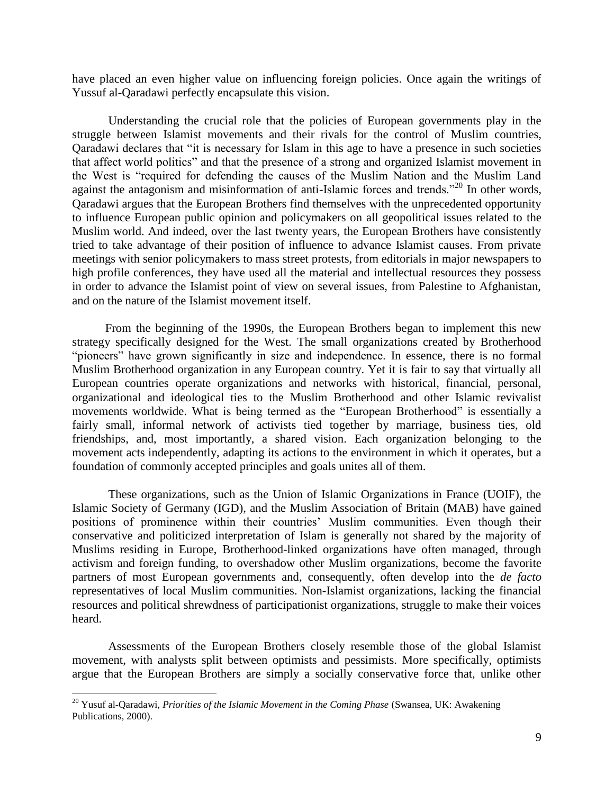have placed an even higher value on influencing foreign policies. Once again the writings of Yussuf al-Qaradawi perfectly encapsulate this vision.

Understanding the crucial role that the policies of European governments play in the struggle between Islamist movements and their rivals for the control of Muslim countries, Qaradawi declares that "it is necessary for Islam in this age to have a presence in such societies that affect world politics" and that the presence of a strong and organized Islamist movement in the West is "required for defending the causes of the Muslim Nation and the Muslim Land against the antagonism and misinformation of anti-Islamic forces and trends."<sup>20</sup> In other words, Qaradawi argues that the European Brothers find themselves with the unprecedented opportunity to influence European public opinion and policymakers on all geopolitical issues related to the Muslim world. And indeed, over the last twenty years, the European Brothers have consistently tried to take advantage of their position of influence to advance Islamist causes. From private meetings with senior policymakers to mass street protests, from editorials in major newspapers to high profile conferences, they have used all the material and intellectual resources they possess in order to advance the Islamist point of view on several issues, from Palestine to Afghanistan, and on the nature of the Islamist movement itself.

 From the beginning of the 1990s, the European Brothers began to implement this new strategy specifically designed for the West. The small organizations created by Brotherhood "pioneers" have grown significantly in size and independence. In essence, there is no formal Muslim Brotherhood organization in any European country. Yet it is fair to say that virtually all European countries operate organizations and networks with historical, financial, personal, organizational and ideological ties to the Muslim Brotherhood and other Islamic revivalist movements worldwide. What is being termed as the "European Brotherhood" is essentially a fairly small, informal network of activists tied together by marriage, business ties, old friendships, and, most importantly, a shared vision. Each organization belonging to the movement acts independently, adapting its actions to the environment in which it operates, but a foundation of commonly accepted principles and goals unites all of them.

These organizations, such as the Union of Islamic Organizations in France (UOIF), the Islamic Society of Germany (IGD), and the Muslim Association of Britain (MAB) have gained positions of prominence within their countries' Muslim communities. Even though their conservative and politicized interpretation of Islam is generally not shared by the majority of Muslims residing in Europe, Brotherhood-linked organizations have often managed, through activism and foreign funding, to overshadow other Muslim organizations, become the favorite partners of most European governments and, consequently, often develop into the *de facto* representatives of local Muslim communities. Non-Islamist organizations, lacking the financial resources and political shrewdness of participationist organizations, struggle to make their voices heard.

Assessments of the European Brothers closely resemble those of the global Islamist movement, with analysts split between optimists and pessimists. More specifically, optimists argue that the European Brothers are simply a socially conservative force that, unlike other

<sup>20</sup> Yusuf al-Qaradawi, *Priorities of the Islamic Movement in the Coming Phase* (Swansea, UK: Awakening Publications, 2000).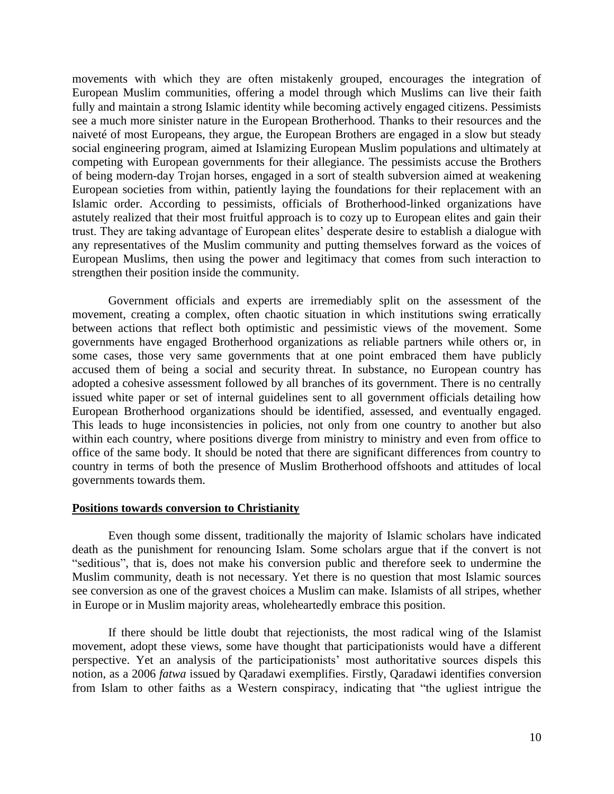movements with which they are often mistakenly grouped, encourages the integration of European Muslim communities, offering a model through which Muslims can live their faith fully and maintain a strong Islamic identity while becoming actively engaged citizens. Pessimists see a much more sinister nature in the European Brotherhood. Thanks to their resources and the naiveté of most Europeans, they argue, the European Brothers are engaged in a slow but steady social engineering program, aimed at Islamizing European Muslim populations and ultimately at competing with European governments for their allegiance. The pessimists accuse the Brothers of being modern-day Trojan horses, engaged in a sort of stealth subversion aimed at weakening European societies from within, patiently laying the foundations for their replacement with an Islamic order. According to pessimists, officials of Brotherhood-linked organizations have astutely realized that their most fruitful approach is to cozy up to European elites and gain their trust. They are taking advantage of European elites' desperate desire to establish a dialogue with any representatives of the Muslim community and putting themselves forward as the voices of European Muslims, then using the power and legitimacy that comes from such interaction to strengthen their position inside the community.

Government officials and experts are irremediably split on the assessment of the movement, creating a complex, often chaotic situation in which institutions swing erratically between actions that reflect both optimistic and pessimistic views of the movement. Some governments have engaged Brotherhood organizations as reliable partners while others or, in some cases, those very same governments that at one point embraced them have publicly accused them of being a social and security threat. In substance, no European country has adopted a cohesive assessment followed by all branches of its government. There is no centrally issued white paper or set of internal guidelines sent to all government officials detailing how European Brotherhood organizations should be identified, assessed, and eventually engaged. This leads to huge inconsistencies in policies, not only from one country to another but also within each country, where positions diverge from ministry to ministry and even from office to office of the same body. It should be noted that there are significant differences from country to country in terms of both the presence of Muslim Brotherhood offshoots and attitudes of local governments towards them.

# **Positions towards conversion to Christianity**

Even though some dissent, traditionally the majority of Islamic scholars have indicated death as the punishment for renouncing Islam. Some scholars argue that if the convert is not "seditious", that is, does not make his conversion public and therefore seek to undermine the Muslim community, death is not necessary. Yet there is no question that most Islamic sources see conversion as one of the gravest choices a Muslim can make. Islamists of all stripes, whether in Europe or in Muslim majority areas, wholeheartedly embrace this position.

If there should be little doubt that rejectionists, the most radical wing of the Islamist movement, adopt these views, some have thought that participationists would have a different perspective. Yet an analysis of the participationists' most authoritative sources dispels this notion, as a 2006 *fatwa* issued by Qaradawi exemplifies. Firstly, Qaradawi identifies conversion from Islam to other faiths as a Western conspiracy, indicating that "the ugliest intrigue the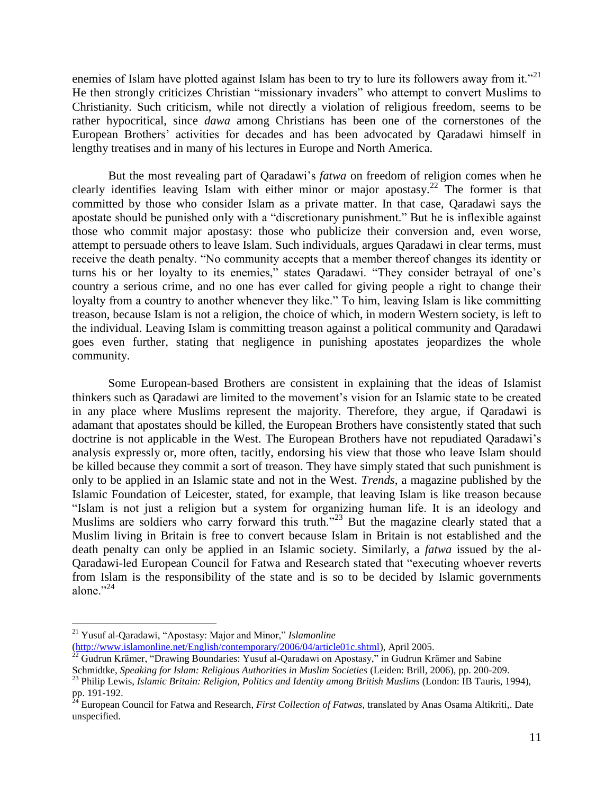enemies of Islam have plotted against Islam has been to try to lure its followers away from it."<sup>21</sup> He then strongly criticizes Christian "missionary invaders" who attempt to convert Muslims to Christianity. Such criticism, while not directly a violation of religious freedom, seems to be rather hypocritical, since *dawa* among Christians has been one of the cornerstones of the European Brothers' activities for decades and has been advocated by Qaradawi himself in lengthy treatises and in many of his lectures in Europe and North America.

But the most revealing part of Qaradawi's *fatwa* on freedom of religion comes when he clearly identifies leaving Islam with either minor or major apostasy.<sup>22</sup> The former is that committed by those who consider Islam as a private matter. In that case, Qaradawi says the apostate should be punished only with a "discretionary punishment." But he is inflexible against those who commit major apostasy: those who publicize their conversion and, even worse, attempt to persuade others to leave Islam. Such individuals, argues Qaradawi in clear terms, must receive the death penalty. "No community accepts that a member thereof changes its identity or turns his or her loyalty to its enemies," states Qaradawi. "They consider betrayal of one's country a serious crime, and no one has ever called for giving people a right to change their loyalty from a country to another whenever they like." To him, leaving Islam is like committing treason, because Islam is not a religion, the choice of which, in modern Western society, is left to the individual. Leaving Islam is committing treason against a political community and Qaradawi goes even further, stating that negligence in punishing apostates jeopardizes the whole community.

Some European-based Brothers are consistent in explaining that the ideas of Islamist thinkers such as Qaradawi are limited to the movement's vision for an Islamic state to be created in any place where Muslims represent the majority. Therefore, they argue, if Qaradawi is adamant that apostates should be killed, the European Brothers have consistently stated that such doctrine is not applicable in the West. The European Brothers have not repudiated Qaradawi's analysis expressly or, more often, tacitly, endorsing his view that those who leave Islam should be killed because they commit a sort of treason. They have simply stated that such punishment is only to be applied in an Islamic state and not in the West. *Trends*, a magazine published by the Islamic Foundation of Leicester, stated, for example, that leaving Islam is like treason because "Islam is not just a religion but a system for organizing human life. It is an ideology and Muslims are soldiers who carry forward this truth."<sup>23</sup> But the magazine clearly stated that a Muslim living in Britain is free to convert because Islam in Britain is not established and the death penalty can only be applied in an Islamic society. Similarly, a *fatwa* issued by the al-Qaradawi-led European Council for Fatwa and Research stated that "executing whoever reverts from Islam is the responsibility of the state and is so to be decided by Islamic governments alone."24

<sup>21</sup> Yusuf al-Qaradawi, "Apostasy: Major and Minor," *Islamonline* 

[<sup>\(</sup>http://www.islamonline.net/English/contemporary/2006/04/article01c.shtml\)](http://www.islamonline.net/English/contemporary/2006/04/article01c.shtml), April 2005.

 $^{22}$  Gudrun Krämer, "Drawing Boundaries: Yusuf al-Qaradawi on Apostasy," in Gudrun Krämer and Sabine

Schmidtke, *Speaking for Islam: Religious Authorities in Muslim Societies* (Leiden: Brill, 2006), pp. 200-209.

<sup>23</sup> Philip Lewis, *Islamic Britain: Religion, Politics and Identity among British Muslims* (London: IB Tauris, 1994), pp. 191-192.

<sup>&</sup>lt;sup>24</sup> European Council for Fatwa and Research, *First Collection of Fatwas*, translated by Anas Osama Altikriti,. Date unspecified.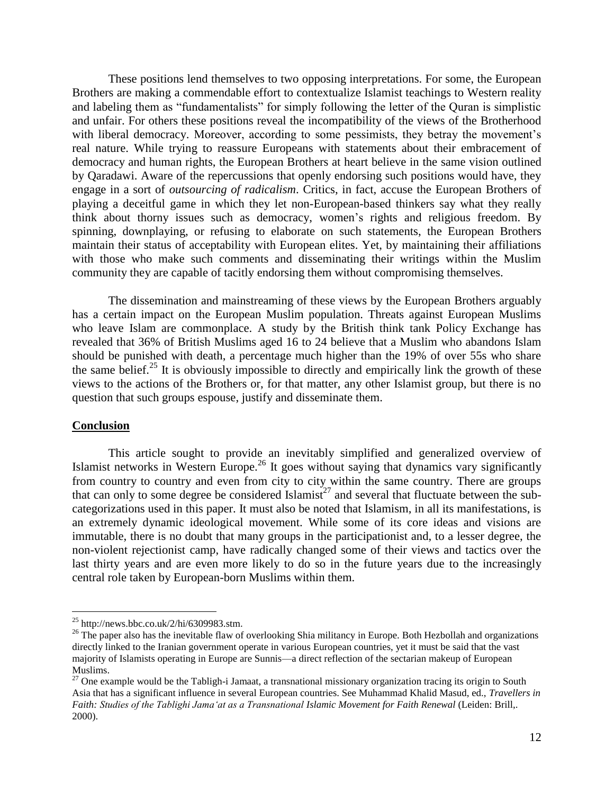These positions lend themselves to two opposing interpretations. For some, the European Brothers are making a commendable effort to contextualize Islamist teachings to Western reality and labeling them as "fundamentalists" for simply following the letter of the Quran is simplistic and unfair. For others these positions reveal the incompatibility of the views of the Brotherhood with liberal democracy. Moreover, according to some pessimists, they betray the movement's real nature. While trying to reassure Europeans with statements about their embracement of democracy and human rights, the European Brothers at heart believe in the same vision outlined by Qaradawi. Aware of the repercussions that openly endorsing such positions would have, they engage in a sort of *outsourcing of radicalism*. Critics, in fact, accuse the European Brothers of playing a deceitful game in which they let non-European-based thinkers say what they really think about thorny issues such as democracy, women's rights and religious freedom. By spinning, downplaying, or refusing to elaborate on such statements, the European Brothers maintain their status of acceptability with European elites. Yet, by maintaining their affiliations with those who make such comments and disseminating their writings within the Muslim community they are capable of tacitly endorsing them without compromising themselves.

The dissemination and mainstreaming of these views by the European Brothers arguably has a certain impact on the European Muslim population. Threats against European Muslims who leave Islam are commonplace. A study by the British think tank Policy Exchange has revealed that 36% of British Muslims aged 16 to 24 believe that a Muslim who abandons Islam should be punished with death, a percentage much higher than the 19% of over 55s who share the same belief.<sup>25</sup> It is obviously impossible to directly and empirically link the growth of these views to the actions of the Brothers or, for that matter, any other Islamist group, but there is no question that such groups espouse, justify and disseminate them.

# **Conclusion**

 $\overline{a}$ 

This article sought to provide an inevitably simplified and generalized overview of Islamist networks in Western Europe.<sup>26</sup> It goes without saying that dynamics vary significantly from country to country and even from city to city within the same country. There are groups that can only to some degree be considered Islamist<sup>27</sup> and several that fluctuate between the subcategorizations used in this paper. It must also be noted that Islamism, in all its manifestations, is an extremely dynamic ideological movement. While some of its core ideas and visions are immutable, there is no doubt that many groups in the participationist and, to a lesser degree, the non-violent rejectionist camp, have radically changed some of their views and tactics over the last thirty years and are even more likely to do so in the future years due to the increasingly central role taken by European-born Muslims within them.

 $^{25}$  http://news.bbc.co.uk/2/hi/6309983.stm.

 $^{26}$  The paper also has the inevitable flaw of overlooking Shia militancy in Europe. Both Hezbollah and organizations directly linked to the Iranian government operate in various European countries, yet it must be said that the vast majority of Islamists operating in Europe are Sunnis—a direct reflection of the sectarian makeup of European Muslims.

 $27$  One example would be the Tabligh-i Jamaat, a transnational missionary organization tracing its origin to South Asia that has a significant influence in several European countries. See Muhammad Khalid Masud, ed., *Travellers in Faith: Studies of the Tablighi Jama'at as a Transnational Islamic Movement for Faith Renewal* (Leiden: Brill,. 2000).